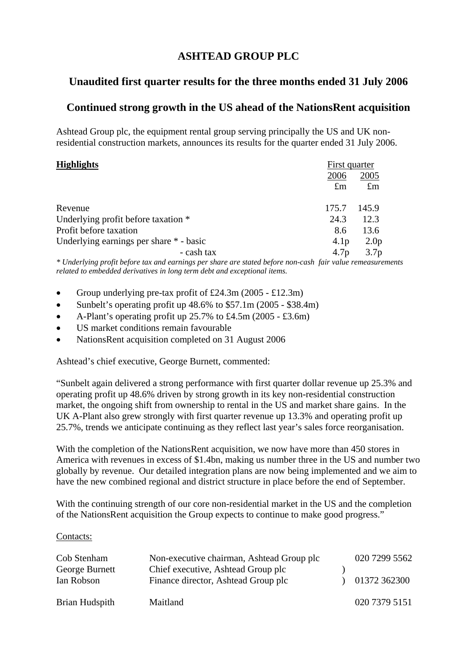# **ASHTEAD GROUP PLC**

# **Unaudited first quarter results for the three months ended 31 July 2006**

# **Continued strong growth in the US ahead of the NationsRent acquisition**

Ashtead Group plc, the equipment rental group serving principally the US and UK nonresidential construction markets, announces its results for the quarter ended 31 July 2006.

| <b>Highlights</b>                       | First quarter    |                  |  |
|-----------------------------------------|------------------|------------------|--|
|                                         | 2006             | 2005             |  |
|                                         | $\pounds$ m      | $\pounds$ m      |  |
| Revenue                                 | 175.7            | 145.9            |  |
| Underlying profit before taxation *     | 24.3             | 12.3             |  |
| Profit before taxation                  | 8.6              | 13.6             |  |
| Underlying earnings per share * - basic | 4.1 <sub>p</sub> | 2.0 <sub>p</sub> |  |
| - cash tax                              | 4.7 <sub>p</sub> | 3.7 <sub>p</sub> |  |

*\* Underlying profit before tax and earnings per share are stated before non-cash fair value remeasurements related to embedded derivatives in long term debt and exceptional items.* 

- Group underlying pre-tax profit of £24.3m  $(2005 \text{\textsterling}12.3m)$
- Sunbelt's operating profit up  $48.6\%$  to  $$57.1m (2005 $38.4m)$
- A-Plant's operating profit up  $25.7\%$  to £4.5m (2005 £3.6m)
- US market conditions remain favourable
- NationsRent acquisition completed on 31 August 2006

Ashtead's chief executive, George Burnett, commented:

"Sunbelt again delivered a strong performance with first quarter dollar revenue up 25.3% and operating profit up 48.6% driven by strong growth in its key non-residential construction market, the ongoing shift from ownership to rental in the US and market share gains. In the UK A-Plant also grew strongly with first quarter revenue up 13.3% and operating profit up 25.7%, trends we anticipate continuing as they reflect last year's sales force reorganisation.

With the completion of the NationsRent acquisition, we now have more than 450 stores in America with revenues in excess of \$1.4bn, making us number three in the US and number two globally by revenue. Our detailed integration plans are now being implemented and we aim to have the new combined regional and district structure in place before the end of September.

With the continuing strength of our core non-residential market in the US and the completion of the NationsRent acquisition the Group expects to continue to make good progress."

#### Contacts:

| Cob Stenham<br>George Burnett<br>Ian Robson | Non-executive chairman, Ashtead Group plc<br>Chief executive, Ashtead Group plc<br>Finance director, Ashtead Group plc | 020 7299 5562<br>01372 362300 |
|---------------------------------------------|------------------------------------------------------------------------------------------------------------------------|-------------------------------|
| Brian Hudspith                              | Maitland                                                                                                               | 020 7379 5151                 |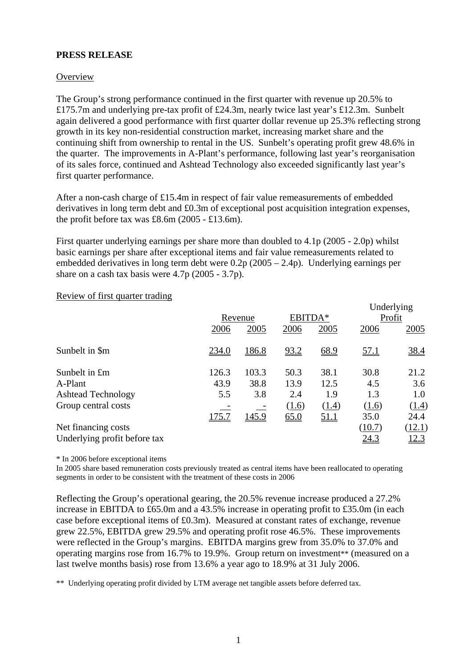## **PRESS RELEASE**

### **Overview**

The Group's strong performance continued in the first quarter with revenue up 20.5% to £175.7m and underlying pre-tax profit of £24.3m, nearly twice last year's £12.3m. Sunbelt again delivered a good performance with first quarter dollar revenue up 25.3% reflecting strong growth in its key non-residential construction market, increasing market share and the continuing shift from ownership to rental in the US. Sunbelt's operating profit grew 48.6% in the quarter. The improvements in A-Plant's performance, following last year's reorganisation of its sales force, continued and Ashtead Technology also exceeded significantly last year's first quarter performance.

After a non-cash charge of £15.4m in respect of fair value remeasurements of embedded derivatives in long term debt and £0.3m of exceptional post acquisition integration expenses, the profit before tax was £8.6m (2005 - £13.6m).

First quarter underlying earnings per share more than doubled to 4.1p (2005 - 2.0p) whilst basic earnings per share after exceptional items and fair value remeasurements related to embedded derivatives in long term debt were 0.2p (2005 – 2.4p). Underlying earnings per share on a cash tax basis were 4.7p (2005 - 3.7p).

|                              |              |              |       |             | Underlying  |             |  |
|------------------------------|--------------|--------------|-------|-------------|-------------|-------------|--|
|                              |              | Revenue      |       | EBITDA*     |             | Profit      |  |
|                              | 2006         | 2005         | 2006  | 2005        | 2006        | 2005        |  |
| Sunbelt in \$m               | 234.0        | <u>186.8</u> | 93.2  | 68.9        | <u>57.1</u> | <u>38.4</u> |  |
| Sunbelt in £m                | 126.3        | 103.3        | 50.3  | 38.1        | 30.8        | 21.2        |  |
| A-Plant                      | 43.9         | 38.8         | 13.9  | 12.5        | 4.5         | 3.6         |  |
| <b>Ashtead Technology</b>    | 5.5          | 3.8          | 2.4   | 1.9         | 1.3         | 1.0         |  |
| Group central costs          |              |              | (1.6) | (1.4)       | (1.6)       | (1.4)       |  |
|                              | <u>175.7</u> | <u>145.9</u> | 65.0  | <u>51.1</u> | 35.0        | 24.4        |  |
| Net financing costs          |              |              |       |             | (10.7)      | (12.1)      |  |
| Underlying profit before tax |              |              |       |             | <u>24.3</u> | <u>12.3</u> |  |

 $T$  Underlying  $T$ 

#### Review of first quarter trading

\* In 2006 before exceptional items

In 2005 share based remuneration costs previously treated as central items have been reallocated to operating segments in order to be consistent with the treatment of these costs in 2006

Reflecting the Group's operational gearing, the 20.5% revenue increase produced a 27.2% increase in EBITDA to £65.0m and a 43.5% increase in operating profit to £35.0m (in each case before exceptional items of £0.3m). Measured at constant rates of exchange, revenue grew 22.5%, EBITDA grew 29.5% and operating profit rose 46.5%. These improvements were reflected in the Group's margins. EBITDA margins grew from 35.0% to 37.0% and operating margins rose from 16.7% to 19.9%. Group return on investment\*\* (measured on a last twelve months basis) rose from 13.6% a year ago to 18.9% at 31 July 2006.

\*\* Underlying operating profit divided by LTM average net tangible assets before deferred tax.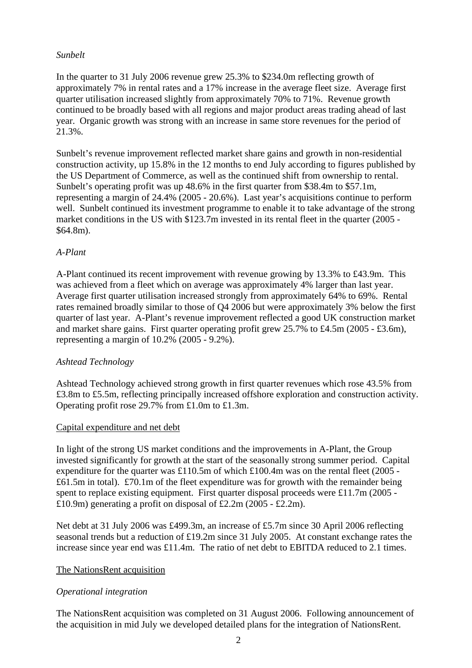## *Sunbelt*

In the quarter to 31 July 2006 revenue grew 25.3% to \$234.0m reflecting growth of approximately 7% in rental rates and a 17% increase in the average fleet size. Average first quarter utilisation increased slightly from approximately 70% to 71%. Revenue growth continued to be broadly based with all regions and major product areas trading ahead of last year. Organic growth was strong with an increase in same store revenues for the period of 21.3%.

Sunbelt's revenue improvement reflected market share gains and growth in non-residential construction activity, up 15.8% in the 12 months to end July according to figures published by the US Department of Commerce, as well as the continued shift from ownership to rental. Sunbelt's operating profit was up 48.6% in the first quarter from \$38.4m to \$57.1m, representing a margin of 24.4% (2005 - 20.6%). Last year's acquisitions continue to perform well. Sunbelt continued its investment programme to enable it to take advantage of the strong market conditions in the US with \$123.7m invested in its rental fleet in the quarter (2005 - \$64.8m).

## *A-Plant*

A-Plant continued its recent improvement with revenue growing by 13.3% to £43.9m. This was achieved from a fleet which on average was approximately 4% larger than last year. Average first quarter utilisation increased strongly from approximately 64% to 69%. Rental rates remained broadly similar to those of Q4 2006 but were approximately 3% below the first quarter of last year. A-Plant's revenue improvement reflected a good UK construction market and market share gains. First quarter operating profit grew 25.7% to £4.5m (2005 - £3.6m), representing a margin of 10.2% (2005 - 9.2%).

## *Ashtead Technology*

Ashtead Technology achieved strong growth in first quarter revenues which rose 43.5% from £3.8m to £5.5m, reflecting principally increased offshore exploration and construction activity. Operating profit rose 29.7% from £1.0m to £1.3m.

#### Capital expenditure and net debt

In light of the strong US market conditions and the improvements in A-Plant, the Group invested significantly for growth at the start of the seasonally strong summer period. Capital expenditure for the quarter was £110.5m of which £100.4m was on the rental fleet (2005 - £61.5m in total). £70.1m of the fleet expenditure was for growth with the remainder being spent to replace existing equipment. First quarter disposal proceeds were £11.7m (2005 - £10.9m) generating a profit on disposal of £2.2m (2005 - £2.2m).

Net debt at 31 July 2006 was £499.3m, an increase of £5.7m since 30 April 2006 reflecting seasonal trends but a reduction of £19.2m since 31 July 2005. At constant exchange rates the increase since year end was £11.4m. The ratio of net debt to EBITDA reduced to 2.1 times.

## The NationsRent acquisition

## *Operational integration*

The NationsRent acquisition was completed on 31 August 2006. Following announcement of the acquisition in mid July we developed detailed plans for the integration of NationsRent.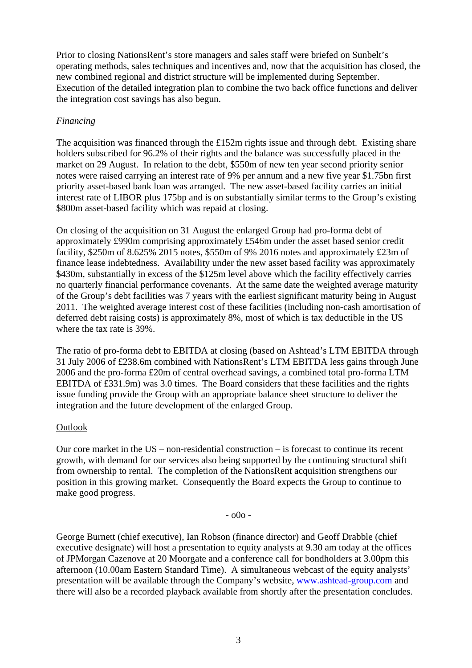Prior to closing NationsRent's store managers and sales staff were briefed on Sunbelt's operating methods, sales techniques and incentives and, now that the acquisition has closed, the new combined regional and district structure will be implemented during September. Execution of the detailed integration plan to combine the two back office functions and deliver the integration cost savings has also begun.

## *Financing*

The acquisition was financed through the £152m rights issue and through debt. Existing share holders subscribed for 96.2% of their rights and the balance was successfully placed in the market on 29 August. In relation to the debt, \$550m of new ten year second priority senior notes were raised carrying an interest rate of 9% per annum and a new five year \$1.75bn first priority asset-based bank loan was arranged. The new asset-based facility carries an initial interest rate of LIBOR plus 175bp and is on substantially similar terms to the Group's existing \$800m asset-based facility which was repaid at closing.

On closing of the acquisition on 31 August the enlarged Group had pro-forma debt of approximately £990m comprising approximately £546m under the asset based senior credit facility, \$250m of 8.625% 2015 notes, \$550m of 9% 2016 notes and approximately £23m of finance lease indebtedness. Availability under the new asset based facility was approximately \$430m, substantially in excess of the \$125m level above which the facility effectively carries no quarterly financial performance covenants. At the same date the weighted average maturity of the Group's debt facilities was 7 years with the earliest significant maturity being in August 2011. The weighted average interest cost of these facilities (including non-cash amortisation of deferred debt raising costs) is approximately 8%, most of which is tax deductible in the US where the tax rate is 39%.

The ratio of pro-forma debt to EBITDA at closing (based on Ashtead's LTM EBITDA through 31 July 2006 of £238.6m combined with NationsRent's LTM EBITDA less gains through June 2006 and the pro-forma £20m of central overhead savings, a combined total pro-forma LTM EBITDA of £331.9m) was 3.0 times. The Board considers that these facilities and the rights issue funding provide the Group with an appropriate balance sheet structure to deliver the integration and the future development of the enlarged Group.

#### **Outlook**

Our core market in the  $US -$  non-residential construction  $-$  is forecast to continue its recent growth, with demand for our services also being supported by the continuing structural shift from ownership to rental. The completion of the NationsRent acquisition strengthens our position in this growing market. Consequently the Board expects the Group to continue to make good progress.

- o0o -

George Burnett (chief executive), Ian Robson (finance director) and Geoff Drabble (chief executive designate) will host a presentation to equity analysts at 9.30 am today at the offices of JPMorgan Cazenove at 20 Moorgate and a conference call for bondholders at 3.00pm this afternoon (10.00am Eastern Standard Time). A simultaneous webcast of the equity analysts' presentation will be available through the Company's website, [www.ashtead-group.com](http://www.ashtead-group.com/) and there will also be a recorded playback available from shortly after the presentation concludes.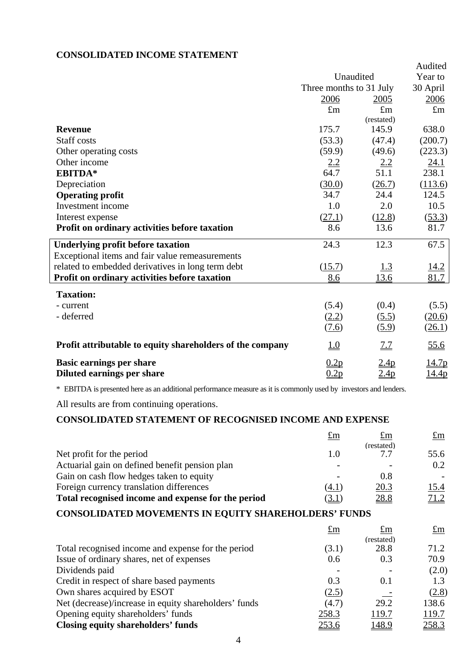## **CONSOLIDATED INCOME STATEMENT**

|                                                           |                         |             | Audited      |
|-----------------------------------------------------------|-------------------------|-------------|--------------|
|                                                           | Unaudited               |             | Year to      |
|                                                           | Three months to 31 July |             | 30 April     |
|                                                           | 2006                    | 2005        | 2006         |
|                                                           | $\pounds$ m             | $\pounds$ m | $\pounds$ m  |
|                                                           |                         | (restated)  |              |
| <b>Revenue</b>                                            | 175.7                   | 145.9       | 638.0        |
| <b>Staff</b> costs                                        | (53.3)                  | (47.4)      | (200.7)      |
| Other operating costs                                     | (59.9)                  | (49.6)      | (223.3)      |
| Other income                                              | 2.2                     | <u>2.2</u>  | 24.1         |
| <b>EBITDA*</b>                                            | 64.7                    | 51.1        | 238.1        |
| Depreciation                                              | (30.0)                  | (26.7)      | (113.6)      |
| <b>Operating profit</b>                                   | 34.7                    | 24.4        | 124.5        |
| Investment income                                         | 1.0                     | 2.0         | 10.5         |
| Interest expense                                          | (27.1)                  | (12.8)      | (53.3)       |
| Profit on ordinary activities before taxation             | 8.6                     | 13.6        | 81.7         |
| <b>Underlying profit before taxation</b>                  | 24.3                    | 12.3        | 67.5         |
| Exceptional items and fair value remeasurements           |                         |             |              |
| related to embedded derivatives in long term debt         | (15.7)                  | <u>1.3</u>  | 14.2         |
| Profit on ordinary activities before taxation             | 8.6                     | 13.6        | 81.7         |
| <b>Taxation:</b>                                          |                         |             |              |
| - current                                                 | (5.4)                   | (0.4)       | (5.5)        |
| - deferred                                                | (2.2)                   | (5.5)       | (20.6)       |
|                                                           | (7.6)                   | (5.9)       | (26.1)       |
| Profit attributable to equity shareholders of the company | <u>1.0</u>              | <u>7.7</u>  | 55.6         |
| <b>Basic earnings per share</b>                           | 0.2p                    | 2.4p        | <u>14.7p</u> |
| Diluted earnings per share                                | 0.2p                    | 2.4p        | <u>14.4p</u> |

\* EBITDA is presented here as an additional performance measure as it is commonly used by investors and lenders.

All results are from continuing operations.

## **CONSOLIDATED STATEMENT OF RECOGNISED INCOME AND EXPENSE**

| £m    | $\pounds$ m | $\pounds$ m |
|-------|-------------|-------------|
|       | (restated)  |             |
|       | 77          | 55.6        |
|       |             | 0.2         |
|       | 0.8         |             |
| (4. F | 20.3        | 15.4        |
| (3.1) | 28.8        | 71.2        |
|       |             |             |

# **CONSOLIDATED MOVEMENTS IN EQUITY SHAREHOLDERS' FUNDS**

|                                                       | $\pounds$ m  | $\pounds$ m  | $\pounds$ m |
|-------------------------------------------------------|--------------|--------------|-------------|
|                                                       |              | (restated)   |             |
| Total recognised income and expense for the period    | (3.1)        | 28.8         | 71.2        |
| Issue of ordinary shares, net of expenses             | 0.6          | 0.3          | 70.9        |
| Dividends paid                                        |              |              | (2.0)       |
| Credit in respect of share based payments             | 0.3          | 0.1          | 1.3         |
| Own shares acquired by ESOT                           | (2.5)        |              | (2.8)       |
| Net (decrease)/increase in equity shareholders' funds | (4.7)        | 29.2         | 138.6       |
| Opening equity shareholders' funds                    | 258.3        | 119.7        | 119.7       |
| Closing equity shareholders' funds                    | <u>253.6</u> | <u>148.9</u> | 258.3       |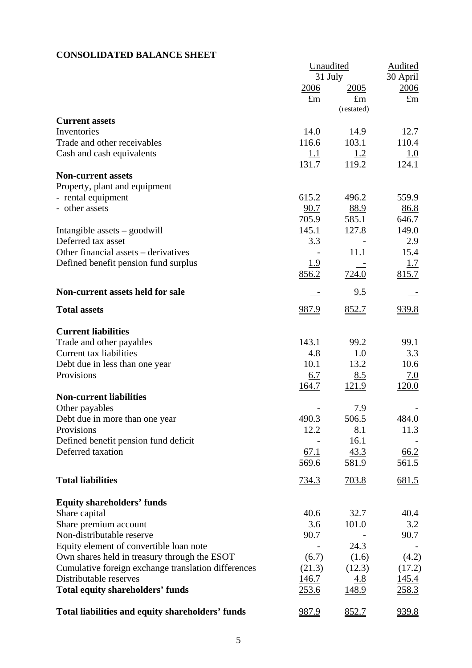# **CONSOLIDATED BALANCE SHEET**

|                                                     | Unaudited    |                           | Audited      |  |
|-----------------------------------------------------|--------------|---------------------------|--------------|--|
|                                                     |              | 31 July                   | 30 April     |  |
|                                                     | <u>2006</u>  | 2005                      | <u>2006</u>  |  |
|                                                     | $\pounds$ m  | $\pounds$ m<br>(restated) | $\pounds$ m  |  |
|                                                     |              |                           |              |  |
| <b>Current assets</b><br>Inventories                | 14.0         | 14.9                      | 12.7         |  |
| Trade and other receivables                         | 116.6        | 103.1                     | 110.4        |  |
| Cash and cash equivalents                           | <u>1.1</u>   |                           | <u>1.0</u>   |  |
|                                                     | <u>131.7</u> | <u>1.2</u><br>119.2       | 124.1        |  |
| <b>Non-current assets</b>                           |              |                           |              |  |
| Property, plant and equipment                       |              |                           |              |  |
| - rental equipment                                  | 615.2        | 496.2                     | 559.9        |  |
| - other assets                                      | 90.7         | 88.9                      | 86.8         |  |
|                                                     | 705.9        | 585.1                     | 646.7        |  |
| Intangible assets - goodwill                        | 145.1        | 127.8                     | 149.0        |  |
| Deferred tax asset                                  | 3.3          |                           | 2.9          |  |
| Other financial assets – derivatives                |              | 11.1                      | 15.4         |  |
| Defined benefit pension fund surplus                | <u>1.9</u>   |                           | 1.7          |  |
|                                                     | 856.2        | 724.0                     | 815.7        |  |
| Non-current assets held for sale                    |              | 9.5                       |              |  |
| <b>Total assets</b>                                 | 987.9        | 852.7                     | 939.8        |  |
| <b>Current liabilities</b>                          |              |                           |              |  |
| Trade and other payables                            | 143.1        | 99.2                      | 99.1         |  |
| <b>Current tax liabilities</b>                      | 4.8          | 1.0                       | 3.3          |  |
| Debt due in less than one year                      | 10.1         | 13.2                      | 10.6         |  |
| Provisions                                          | 6.7          | 8.5                       | 7.0          |  |
|                                                     | 164.7        | <u>121.9</u>              | 120.0        |  |
| <b>Non-current liabilities</b>                      |              |                           |              |  |
| Other payables                                      |              | 7.9                       |              |  |
| Debt due in more than one year                      | 490.3        | 506.5                     | 484.0        |  |
| Provisions                                          | 12.2         | 8.1                       | 11.3         |  |
| Defined benefit pension fund deficit                |              | 16.1                      |              |  |
| Deferred taxation                                   | 67.1         | 43.3                      | 66.2         |  |
|                                                     | 569.6        | 581.9                     | <u>561.5</u> |  |
| <b>Total liabilities</b>                            | <u>734.3</u> | <u>703.8</u>              | 681.5        |  |
| <b>Equity shareholders' funds</b>                   |              |                           |              |  |
| Share capital                                       | 40.6         | 32.7                      | 40.4         |  |
| Share premium account                               | 3.6          | 101.0                     | 3.2          |  |
| Non-distributable reserve                           | 90.7         |                           | 90.7         |  |
| Equity element of convertible loan note             |              | 24.3                      |              |  |
| Own shares held in treasury through the ESOT        | (6.7)        | (1.6)                     | (4.2)        |  |
| Cumulative foreign exchange translation differences | (21.3)       | (12.3)                    | (17.2)       |  |
| Distributable reserves                              | 146.7        | <u>4.8</u>                | <u>145.4</u> |  |
| <b>Total equity shareholders' funds</b>             | 253.6        | <u>148.9</u>              | <u>258.3</u> |  |
| Total liabilities and equity shareholders' funds    | <u>987.9</u> | 852.7                     | 939.8        |  |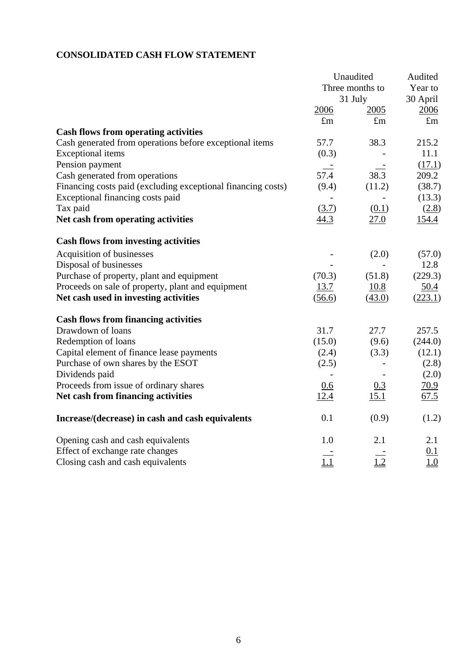# **CONSOLIDATED CASH FLOW STATEMENT**

|                                                              | Unaudited       |             | Audited     |
|--------------------------------------------------------------|-----------------|-------------|-------------|
|                                                              | Three months to |             | Year to     |
|                                                              |                 | 31 July     | 30 April    |
|                                                              | 2006            | 2005        | 2006        |
|                                                              | $\pounds$ m     | $\pounds$ m | $\pounds$ m |
| <b>Cash flows from operating activities</b>                  |                 |             |             |
| Cash generated from operations before exceptional items      | 57.7            | 38.3        | 215.2       |
| <b>Exceptional</b> items                                     | (0.3)           |             | 11.1        |
| Pension payment                                              | $\frac{1}{2}$   |             | (17.1)      |
| Cash generated from operations                               | 57.4            | 38.3        | 209.2       |
| Financing costs paid (excluding exceptional financing costs) | (9.4)           | (11.2)      | (38.7)      |
| Exceptional financing costs paid                             |                 |             | (13.3)      |
| Tax paid                                                     | (3.7)           | (0.1)       | (2.8)       |
| Net cash from operating activities                           | 44.3            | 27.0        | 154.4       |
| <b>Cash flows from investing activities</b>                  |                 |             |             |
| Acquisition of businesses                                    |                 | (2.0)       | (57.0)      |
| Disposal of businesses                                       |                 |             | 12.8        |
| Purchase of property, plant and equipment                    | (70.3)          | (51.8)      | (229.3)     |
| Proceeds on sale of property, plant and equipment            | 13.7            | 10.8        | 50.4        |
| Net cash used in investing activities                        | (56.6)          | (43.0)      | (223.1)     |
| <b>Cash flows from financing activities</b>                  |                 |             |             |
| Drawdown of loans                                            | 31.7            | 27.7        | 257.5       |
| Redemption of loans                                          | (15.0)          | (9.6)       | (244.0)     |
| Capital element of finance lease payments                    | (2.4)           | (3.3)       | (12.1)      |
| Purchase of own shares by the ESOT                           | (2.5)           |             | (2.8)       |
| Dividends paid                                               |                 |             | (2.0)       |
| Proceeds from issue of ordinary shares                       | 0.6             | 0.3         | 70.9        |
| Net cash from financing activities                           | <u>12.4</u>     | <u>15.1</u> | 67.5        |
| Increase/(decrease) in cash and cash equivalents             | 0.1             | (0.9)       | (1.2)       |
| Opening cash and cash equivalents                            | 1.0             | 2.1         | 2.1         |
| Effect of exchange rate changes                              |                 |             | 0.1         |
| Closing cash and cash equivalents                            | 1.1             | 1.2         | 1.0         |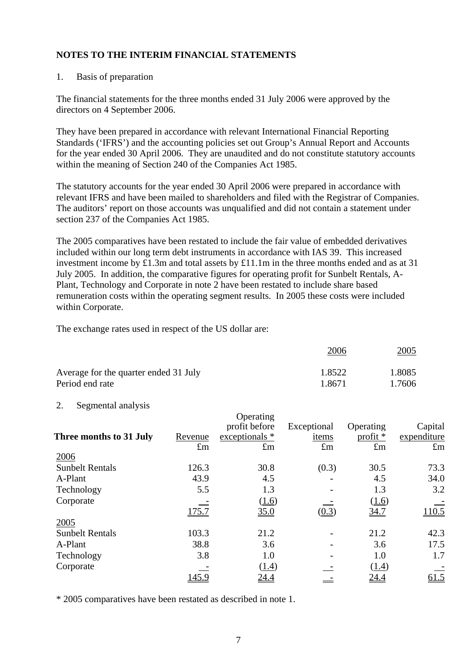### 1. Basis of preparation

The financial statements for the three months ended 31 July 2006 were approved by the directors on 4 September 2006.

They have been prepared in accordance with relevant International Financial Reporting Standards ('IFRS') and the accounting policies set out Group's Annual Report and Accounts for the year ended 30 April 2006. They are unaudited and do not constitute statutory accounts within the meaning of Section 240 of the Companies Act 1985.

The statutory accounts for the year ended 30 April 2006 were prepared in accordance with relevant IFRS and have been mailed to shareholders and filed with the Registrar of Companies. The auditors' report on those accounts was unqualified and did not contain a statement under section 237 of the Companies Act 1985.

The 2005 comparatives have been restated to include the fair value of embedded derivatives included within our long term debt instruments in accordance with IAS 39. This increased investment income by £1.3m and total assets by £11.1m in the three months ended and as at 31 July 2005. In addition, the comparative figures for operating profit for Sunbelt Rentals, A-Plant, Technology and Corporate in note 2 have been restated to include share based remuneration costs within the operating segment results. In 2005 these costs were included within Corporate.

The exchange rates used in respect of the US dollar are:

|                                       | <u> 2006</u> | <u>2005</u> |  |
|---------------------------------------|--------------|-------------|--|
| Average for the quarter ended 31 July | 1.8522       | 1.8085      |  |
| Period end rate                       | 1.8671       | 1.7606      |  |

#### 2. Segmental analysis

|                         |               | Operating          |             |              |                   |
|-------------------------|---------------|--------------------|-------------|--------------|-------------------|
|                         |               | profit before      | Exceptional | Operating    | Capital           |
| Three months to 31 July | Revenue       | exceptionals *     | items       | profit $*$   | expenditure       |
|                         | $\pounds$ m   | $\pounds$ m        | $\pounds$ m | $\pounds$ m  | $\pounds$ m       |
| 2006                    |               |                    |             |              |                   |
| <b>Sunbelt Rentals</b>  | 126.3         | 30.8               | (0.3)       | 30.5         | 73.3              |
| A-Plant                 | 43.9          | 4.5                |             | 4.5          | 34.0              |
| Technology              | 5.5           | 1.3                |             | 1.3          | 3.2               |
| Corporate               |               | (1.6)              |             | (1.6)        |                   |
|                         | <u> 175.7</u> | $\underline{35.0}$ | (0.3)       | 34.7         | $\frac{110.5}{2}$ |
| 2005                    |               |                    |             |              |                   |
| <b>Sunbelt Rentals</b>  | 103.3         | 21.2               |             | 21.2         | 42.3              |
| A-Plant                 | 38.8          | 3.6                |             | 3.6          | 17.5              |
| Technology              | 3.8           | 1.0                |             | 1.0          | 1.7               |
| Corporate               |               | (1.4)              |             | (1.4)        |                   |
|                         | <u> 145.9</u> | <u>24.4</u>        |             | <u> 24.4</u> | <u>61.5</u>       |

\* 2005 comparatives have been restated as described in note 1.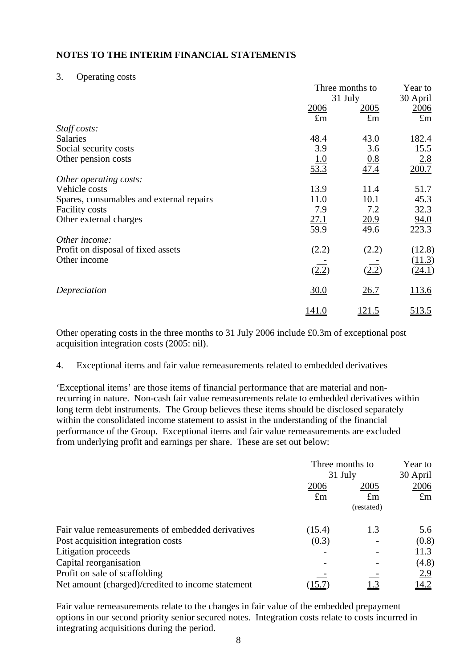#### 3. Operating costs

|                                          |               | Three months to    |              |
|------------------------------------------|---------------|--------------------|--------------|
|                                          |               | 31 July            |              |
|                                          | 2006          | <u>2005</u>        | 2006         |
|                                          | $\pounds$ m   | $\pounds$ m        | $\pounds$ m  |
| Staff costs:                             |               |                    |              |
| Salaries                                 | 48.4          | 43.0               | 182.4        |
| Social security costs                    | 3.9           | 3.6                | 15.5         |
| Other pension costs                      | <u>1.0</u>    |                    | 2.8          |
|                                          | $\sqrt{53.3}$ | $\frac{0.8}{47.4}$ | 200.7        |
| Other operating costs:                   |               |                    |              |
| Vehicle costs                            | 13.9          | 11.4               | 51.7         |
| Spares, consumables and external repairs | 11.0          | 10.1               | 45.3         |
| <b>Facility costs</b>                    | 7.9           | 7.2                | 32.3         |
| Other external charges                   | 27.1          | 20.9               | 94.0         |
|                                          | 59.9          | 49.6               | 223.3        |
| Other income:                            |               |                    |              |
| Profit on disposal of fixed assets       | (2.2)         | (2.2)              | (12.8)       |
| Other income                             |               |                    | (11.3)       |
|                                          | (2.2)         | (2.2)              | (24.1)       |
| Depreciation                             | 30.0          | 26.7               | 113.6        |
|                                          | <u>141.0</u>  | <u> 121.5</u>      | <u>513.5</u> |

Other operating costs in the three months to 31 July 2006 include £0.3m of exceptional post acquisition integration costs (2005: nil).

4. Exceptional items and fair value remeasurements related to embedded derivatives

'Exceptional items' are those items of financial performance that are material and nonrecurring in nature. Non-cash fair value remeasurements relate to embedded derivatives within long term debt instruments. The Group believes these items should be disclosed separately within the consolidated income statement to assist in the understanding of the financial performance of the Group. Exceptional items and fair value remeasurements are excluded from underlying profit and earnings per share. These are set out below:

|                                                   | Three months to<br>31 July |             | Year to       |  |
|---------------------------------------------------|----------------------------|-------------|---------------|--|
|                                                   |                            |             | 30 April      |  |
|                                                   | 2006                       | 2005        | 2006          |  |
|                                                   | $\pounds$ m                | $\pounds$ m | $\pounds$ m   |  |
|                                                   |                            | (restated)  |               |  |
| Fair value remeasurements of embedded derivatives | (15.4)                     | 1.3         | 5.6           |  |
| Post acquisition integration costs                | (0.3)                      |             | (0.8)         |  |
| Litigation proceeds                               |                            |             | 11.3          |  |
| Capital reorganisation                            |                            |             | (4.8)         |  |
| Profit on sale of scaffolding                     |                            |             | <u>2.9</u>    |  |
| Net amount (charged)/credited to income statement |                            |             | <u> 14.2 </u> |  |

Fair value remeasurements relate to the changes in fair value of the embedded prepayment options in our second priority senior secured notes. Integration costs relate to costs incurred in integrating acquisitions during the period.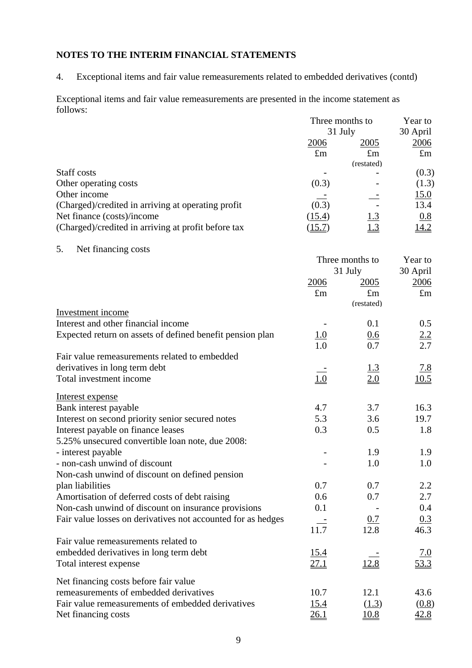4. Exceptional items and fair value remeasurements related to embedded derivatives (contd)

Exceptional items and fair value remeasurements are presented in the income statement as follows: Three months to Year to

|                                                              | Turee months to<br>31 July | rear to<br>30 April |                    |
|--------------------------------------------------------------|----------------------------|---------------------|--------------------|
|                                                              | 2006                       | 2005                | <u>2006</u>        |
|                                                              | $\pounds$ m                | $\pounds$ m         | $\pounds$ m        |
|                                                              |                            | (restated)          |                    |
| Staff costs                                                  |                            |                     | (0.3)              |
| Other operating costs                                        | (0.3)                      |                     | (1.3)              |
| Other income                                                 |                            |                     | 15.0               |
| (Charged)/credited in arriving at operating profit           | (0.3)                      |                     | 13.4               |
| Net finance (costs)/income                                   | (15.4)                     | <u>l.3</u>          | 0.8                |
| (Charged)/credited in arriving at profit before tax          | (15.7)                     |                     | 14.2               |
|                                                              |                            |                     |                    |
| 5.<br>Net financing costs                                    |                            |                     |                    |
|                                                              |                            | Three months to     | Year to            |
|                                                              |                            |                     |                    |
|                                                              |                            | 31 July             | 30 April           |
|                                                              | 2006                       | 2005                | 2006               |
|                                                              | $\pounds$ m                | $\pounds$ m         | $\pounds$ m        |
| Investment income                                            |                            | (restated)          |                    |
|                                                              |                            |                     |                    |
| Interest and other financial income                          |                            | 0.1                 | 0.5                |
| Expected return on assets of defined benefit pension plan    | <u>1.0</u>                 | 0.6                 | $\frac{2.2}{2.7}$  |
|                                                              | $\overline{1.0}$           | 0.7                 |                    |
| Fair value remeasurements related to embedded                |                            |                     |                    |
| derivatives in long term debt                                |                            | $\frac{1.3}{2.0}$   | $\frac{7.8}{10.5}$ |
| Total investment income                                      | 1.0                        |                     |                    |
|                                                              |                            |                     |                    |
| Interest expense                                             |                            |                     |                    |
| Bank interest payable                                        | 4.7                        | 3.7                 | 16.3               |
| Interest on second priority senior secured notes             | 5.3                        | 3.6                 | 19.7               |
| Interest payable on finance leases                           | 0.3                        | 0.5                 | 1.8                |
| 5.25% unsecured convertible loan note, due 2008:             |                            |                     |                    |
| - interest payable                                           |                            | 1.9                 | 1.9                |
| - non-cash unwind of discount                                |                            | 1.0                 | 1.0                |
| Non-cash unwind of discount on defined pension               |                            |                     |                    |
| plan liabilities                                             | 0.7                        | 0.7                 | 2.2                |
| Amortisation of deferred costs of debt raising               | 0.6                        | 0.7                 | 2.7                |
| Non-cash unwind of discount on insurance provisions          | 0.1                        |                     | $0.4\,$            |
| Fair value losses on derivatives not accounted for as hedges |                            | 0.7                 | 0.3                |
|                                                              | 11.7                       | 12.8                | 46.3               |
| Fair value remeasurements related to                         |                            |                     |                    |
| embedded derivatives in long term debt                       | <u>15.4</u>                |                     | 7.0                |
| Total interest expense                                       | <u>27.1</u>                | 12.8                | 53.3               |
|                                                              |                            |                     |                    |
| Net financing costs before fair value                        |                            |                     |                    |
| remeasurements of embedded derivatives                       | 10.7                       | 12.1                | 43.6               |
| Fair value remeasurements of embedded derivatives            | <u>15.4</u>                | (1.3)               | (0.8)              |
| Net financing costs                                          | <u>26.1</u>                | <u>10.8</u>         | 42.8               |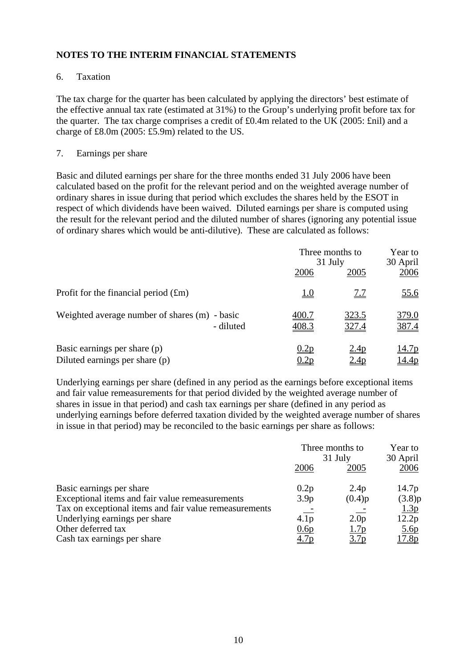## 6. Taxation

The tax charge for the quarter has been calculated by applying the directors' best estimate of the effective annual tax rate (estimated at 31%) to the Group's underlying profit before tax for the quarter. The tax charge comprises a credit of £0.4m related to the UK (2005: £nil) and a charge of £8.0m (2005: £5.9m) related to the US.

## 7. Earnings per share

Basic and diluted earnings per share for the three months ended 31 July 2006 have been calculated based on the profit for the relevant period and on the weighted average number of ordinary shares in issue during that period which excludes the shares held by the ESOT in respect of which dividends have been waived. Diluted earnings per share is computed using the result for the relevant period and the diluted number of shares (ignoring any potential issue of ordinary shares which would be anti-dilutive). These are calculated as follows:

|                                                                |                | Three months to<br>31 July |                  |
|----------------------------------------------------------------|----------------|----------------------------|------------------|
|                                                                | 2006           | 2005                       | 30 April<br>2006 |
| Profit for the financial period $(fm)$                         | <u>1.0</u>     | <u>7.7</u>                 | <u>55.6</u>      |
| Weighted average number of shares (m) - basic<br>- diluted     | 400.7<br>408.3 | <u>323.5</u><br>327.4      | 379.0<br>387.4   |
| Basic earnings per share (p)<br>Diluted earnings per share (p) | 0.2p<br>).2p   | <u>2.4p</u><br>2.4p        | 14.7p<br>14.4p   |

Underlying earnings per share (defined in any period as the earnings before exceptional items and fair value remeasurements for that period divided by the weighted average number of shares in issue in that period) and cash tax earnings per share (defined in any period as underlying earnings before deferred taxation divided by the weighted average number of shares in issue in that period) may be reconciled to the basic earnings per share as follows:

| Three months to<br>31 July |                  | Year to           |  |
|----------------------------|------------------|-------------------|--|
|                            |                  | 30 April          |  |
| 2006                       | 2005             | 2006              |  |
| 0.2p                       | 2.4p             | 14.7 <sub>p</sub> |  |
| 3.9 <sub>p</sub>           | (0.4)p           | (3.8)p            |  |
|                            |                  | 1.3 <sub>p</sub>  |  |
| 4.1 <sub>p</sub>           | 2.0 <sub>p</sub> | 12.2p             |  |
| 0.6p                       | 1.7p             | 5.6 <sub>p</sub>  |  |
| <u>4.7p</u>                | <u>3.7p</u>      | <u>17.8p</u>      |  |
|                            |                  |                   |  |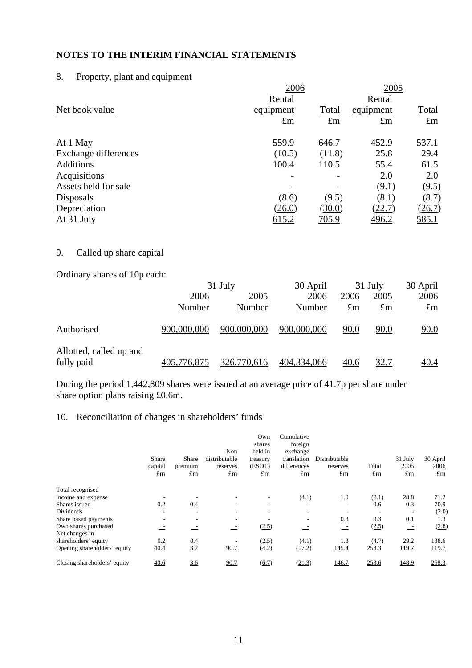# 8. Property, plant and equipment

|                      | 2006         |              | 2005         |              |
|----------------------|--------------|--------------|--------------|--------------|
|                      | Rental       |              | Rental       |              |
| Net book value       | equipment    | Total        | equipment    | <b>Total</b> |
|                      | $\pounds$ m  | $\pounds$ m  | $\pounds$ m  | $\pounds$ m  |
| At 1 May             | 559.9        | 646.7        | 452.9        | 537.1        |
| Exchange differences | (10.5)       | (11.8)       | 25.8         | 29.4         |
| <b>Additions</b>     | 100.4        | 110.5        | 55.4         | 61.5         |
| Acquisitions         |              |              | 2.0          | 2.0          |
| Assets held for sale |              |              | (9.1)        | (9.5)        |
| Disposals            | (8.6)        | (9.5)        | (8.1)        | (8.7)        |
| Depreciation         | (26.0)       | (30.0)       | (22.7)       | (26.7)       |
| At 31 July           | <u>615.2</u> | <u>705.9</u> | <u>496.2</u> | <u>585.1</u> |
|                      |              |              |              |              |

## 9. Called up share capital

Ordinary shares of 10p each:

|                                       |             | 31 July     | 30 April    | $31$ July   |             | 30 April    |  |
|---------------------------------------|-------------|-------------|-------------|-------------|-------------|-------------|--|
|                                       | 2006        | 2005        | 2006        | 2006        | 2005        | 2006        |  |
|                                       | Number      | Number      | Number      | $\pounds$ m | $\pounds$ m | $\pounds$ m |  |
| Authorised                            | 900,000,000 | 900,000,000 | 900,000,000 | <u>90.0</u> | <u>90.0</u> | 90.0        |  |
| Allotted, called up and<br>fully paid | 405,776,875 | 326,770,616 | 404,334,066 | <u>40.6</u> | <u>32.7</u> | <u>40.4</u> |  |

During the period 1,442,809 shares were issued at an average price of 41.7p per share under share option plans raising £0.6m.

## 10. Reconciliation of changes in shareholders' funds

|                                        | <b>Share</b><br>capital<br>$\pounds$ m | Share<br>premium<br>$\pounds$ m | Non<br>distributable<br>reserves<br>$\pounds$ m | Own<br>shares<br>held in<br>treasury<br>(ESOT)<br>$\pounds$ m | Cumulative<br>foreign<br>exchange<br>translation<br>differences<br>£m | Distributable<br>reserves<br>$\pounds$ m | Total<br>$\pounds$ m | 31 July<br>2005<br>$\pounds$ m | 30 April<br>2006<br>$\pounds$ m |
|----------------------------------------|----------------------------------------|---------------------------------|-------------------------------------------------|---------------------------------------------------------------|-----------------------------------------------------------------------|------------------------------------------|----------------------|--------------------------------|---------------------------------|
| Total recognised                       |                                        |                                 |                                                 |                                                               |                                                                       |                                          |                      |                                |                                 |
| income and expense                     |                                        |                                 |                                                 |                                                               | (4.1)                                                                 | 1.0                                      | (3.1)                | 28.8                           | 71.2                            |
| Shares issued                          | 0.2                                    | 0.4                             |                                                 |                                                               | ٠                                                                     | ۰                                        | 0.6                  | 0.3                            | 70.9                            |
| Dividends                              |                                        | ۰                               | ۰                                               |                                                               | ۰                                                                     |                                          |                      | $\overline{\phantom{a}}$       | (2.0)                           |
| Share based payments                   | ۰                                      | ۰                               | ٠                                               |                                                               | ۰                                                                     | 0.3                                      | 0.3                  | 0.1                            | 1.3                             |
| Own shares purchased<br>Net changes in |                                        |                                 |                                                 | (2.5)                                                         |                                                                       |                                          | (2.5)                | $\equiv$                       | (2.8)                           |
| shareholders' equity                   | 0.2                                    | 0.4                             |                                                 | (2.5)                                                         | (4.1)                                                                 | 1.3                                      | (4.7)                | 29.2                           | 138.6                           |
| Opening shareholders' equity           | <u>40.4</u>                            | 3.2                             | 90.7                                            | (4.2)                                                         | (17.2)                                                                | 145.4                                    | 258.3                | 119.7                          | 119.7                           |
| Closing shareholders' equity           | 40.6                                   | 36                              | 90.7                                            | $\underline{(6.7)}$                                           | (21.3)                                                                | 146.7                                    | 253.6                | 148.9                          | 258.3                           |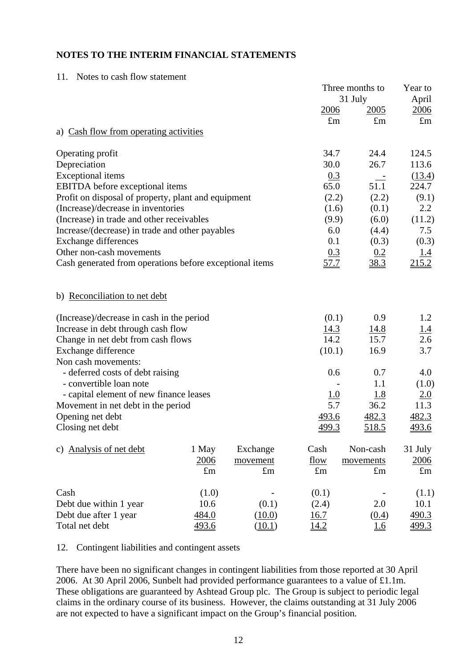11. Notes to cash flow statement

|                                                         |             |             | Three months to | Year to     |             |
|---------------------------------------------------------|-------------|-------------|-----------------|-------------|-------------|
|                                                         |             |             |                 | 31 July     | April       |
|                                                         |             |             | 2006            | 2005        | 2006        |
|                                                         |             |             | $\pounds$ m     | $\pounds$ m | $\pounds$ m |
| a) Cash flow from operating activities                  |             |             |                 |             |             |
| Operating profit                                        |             |             | 34.7            | 24.4        | 124.5       |
| Depreciation                                            |             |             | 30.0            | 26.7        | 113.6       |
| <b>Exceptional</b> items                                |             |             | 0.3             |             | (13.4)      |
| <b>EBITDA</b> before exceptional items                  |             |             | 65.0            | 51.1        | 224.7       |
| Profit on disposal of property, plant and equipment     |             |             | (2.2)           | (2.2)       | (9.1)       |
| (Increase)/decrease in inventories                      |             |             | (1.6)           | (0.1)       | 2.2         |
| (Increase) in trade and other receivables               |             |             | (9.9)           | (6.0)       | (11.2)      |
| Increase/(decrease) in trade and other payables         |             |             | 6.0             | (4.4)       | 7.5         |
| <b>Exchange differences</b>                             |             |             | 0.1             | (0.3)       | (0.3)       |
| Other non-cash movements                                |             |             | 0.3             | 0.2         | 1.4         |
| Cash generated from operations before exceptional items |             |             | 57.7            | 38.3        | 215.2       |
| b) Reconciliation to net debt                           |             |             |                 |             |             |
| (Increase)/decrease in cash in the period               |             |             | (0.1)           | 0.9         | 1.2         |
| Increase in debt through cash flow                      |             |             | 14.3            | <u>14.8</u> | <u>1.4</u>  |
| Change in net debt from cash flows                      |             |             | 14.2            | 15.7        | 2.6         |
| Exchange difference                                     |             |             | (10.1)          | 16.9        | 3.7         |
| Non cash movements:                                     |             |             |                 |             |             |
| - deferred costs of debt raising                        |             |             | 0.6             | 0.7         | 4.0         |
| - convertible loan note                                 |             |             |                 | 1.1         | (1.0)       |
| - capital element of new finance leases                 |             |             | 1.0             | <u>1.8</u>  | <u>2.0</u>  |
| Movement in net debt in the period                      |             |             | 5.7             | 36.2        | 11.3        |
| Opening net debt                                        |             |             | 493.6           | 482.3       | 482.3       |
| Closing net debt                                        |             |             | <u>499.3</u>    | 518.5       | 493.6       |
| c) Analysis of net debt                                 | 1 May       | Exchange    | Cash            | Non-cash    | 31 July     |
|                                                         | 2006        | movement    | <u>flow</u>     | movements   | 2006        |
|                                                         | $\pounds$ m | $\pounds$ m | $\pounds$ m     | $\pounds$ m | $\pounds$ m |
| Cash                                                    | (1.0)       |             | (0.1)           |             | (1.1)       |
| Debt due within 1 year                                  | 10.6        | (0.1)       | (2.4)           | 2.0         | 10.1        |
| Debt due after 1 year                                   | 484.0       | (10.0)      | 16.7            | (0.4)       | 490.3       |
| Total net debt                                          | 493.6       | (10.1)      | <u>14.2</u>     | 1.6         | 499.3       |

12. Contingent liabilities and contingent assets

There have been no significant changes in contingent liabilities from those reported at 30 April 2006. At 30 April 2006, Sunbelt had provided performance guarantees to a value of £1.1m. These obligations are guaranteed by Ashtead Group plc. The Group is subject to periodic legal claims in the ordinary course of its business. However, the claims outstanding at 31 July 2006 are not expected to have a significant impact on the Group's financial position.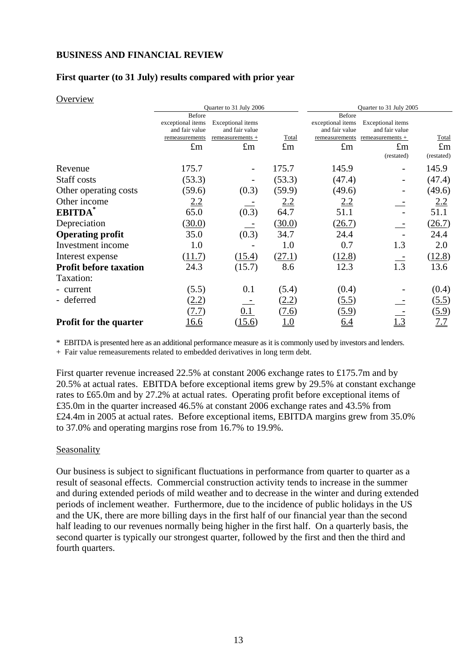## **BUSINESS AND FINANCIAL REVIEW**

## **First quarter (to 31 July) results compared with prior year**

#### **Overview**

|                               | Quarter to 31 July 2006 |                   |             | Quarter to 31 July 2005 |                   |             |  |
|-------------------------------|-------------------------|-------------------|-------------|-------------------------|-------------------|-------------|--|
|                               | Before                  |                   |             | Before                  |                   |             |  |
|                               | exceptional items       | Exceptional items |             | exceptional items       | Exceptional items |             |  |
|                               | and fair value          | and fair value    |             | and fair value          | and fair value    |             |  |
|                               | remeasurements          | remeasurements +  | Total       | remeasurements          | remeasurements +  | Total       |  |
|                               | $\pounds$ m             | $\pounds$ m       | $\pounds$ m | $\pounds$ m             | $\pounds$ m       | $\pounds$ m |  |
|                               |                         |                   |             |                         | (restated)        | (restated)  |  |
| Revenue                       | 175.7                   |                   | 175.7       | 145.9                   |                   | 145.9       |  |
| Staff costs                   | (53.3)                  |                   | (53.3)      | (47.4)                  |                   | (47.4)      |  |
| Other operating costs         | (59.6)                  | (0.3)             | (59.9)      | (49.6)                  |                   | (49.6)      |  |
| Other income                  | 2.2                     |                   | 2.2         | 2.2                     |                   | 2.2         |  |
| EBITDA*                       | 65.0                    | (0.3)             | 64.7        | 51.1                    |                   | 51.1        |  |
| Depreciation                  | (30.0)                  |                   | (30.0)      | (26.7)                  |                   | (26.7)      |  |
| <b>Operating profit</b>       | 35.0                    | (0.3)             | 34.7        | 24.4                    |                   | 24.4        |  |
| Investment income             | 1.0                     |                   | 1.0         | 0.7                     | 1.3               | 2.0         |  |
| Interest expense              | (11.7)                  | (15.4)            | (27.1)      | (12.8)                  |                   | (12.8)      |  |
| <b>Profit before taxation</b> | 24.3                    | (15.7)            | 8.6         | 12.3                    | 1.3               | 13.6        |  |
| Taxation:                     |                         |                   |             |                         |                   |             |  |
| - current                     | (5.5)                   | 0.1               | (5.4)       | (0.4)                   |                   | (0.4)       |  |
| - deferred                    | (2.2)                   |                   | (2.2)       | (5.5)                   |                   | (5.5)       |  |
|                               | (7.7)                   | 0.1               | (7.6)       | <u>(5.9)</u>            |                   | (5.9)       |  |
| <b>Profit for the quarter</b> | <u> 16.6</u>            | 15.6)             | <u>1.0</u>  | <u>6.4</u>              | $\frac{3}{2}$     | <u>7.7</u>  |  |

\* EBITDA is presented here as an additional performance measure as it is commonly used by investors and lenders.

+ Fair value remeasurements related to embedded derivatives in long term debt.

First quarter revenue increased 22.5% at constant 2006 exchange rates to £175.7m and by 20.5% at actual rates. EBITDA before exceptional items grew by 29.5% at constant exchange rates to £65.0m and by 27.2% at actual rates. Operating profit before exceptional items of £35.0m in the quarter increased 46.5% at constant 2006 exchange rates and 43.5% from £24.4m in 2005 at actual rates. Before exceptional items, EBITDA margins grew from 35.0% to 37.0% and operating margins rose from 16.7% to 19.9%.

#### Seasonality

Our business is subject to significant fluctuations in performance from quarter to quarter as a result of seasonal effects. Commercial construction activity tends to increase in the summer and during extended periods of mild weather and to decrease in the winter and during extended periods of inclement weather. Furthermore, due to the incidence of public holidays in the US and the UK, there are more billing days in the first half of our financial year than the second half leading to our revenues normally being higher in the first half. On a quarterly basis, the second quarter is typically our strongest quarter, followed by the first and then the third and fourth quarters.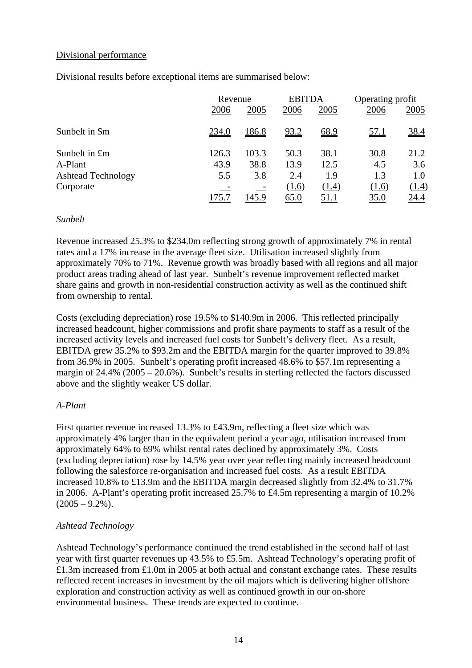## Divisional performance

Divisional results before exceptional items are summarised below:

|                           | Revenue |              | <b>EBITDA</b> |             | Operating profit |             |
|---------------------------|---------|--------------|---------------|-------------|------------------|-------------|
|                           | 2006    | 2005         | 2006          | 2005        | 2006             | 2005        |
| Sunbelt in \$m            | 234.0   | <u>186.8</u> | 93.2          | 68.9        | <u>57.1</u>      | <u>38.4</u> |
| Sunbelt in £m             | 126.3   | 103.3        | 50.3          | 38.1        | 30.8             | 21.2        |
| A-Plant                   | 43.9    | 38.8         | 13.9          | 12.5        | 4.5              | 3.6         |
| <b>Ashtead Technology</b> | 5.5     | 3.8          | 2.4           | 1.9         | 1.3              | 1.0         |
| Corporate                 |         |              | (1.6)         | (1.4)       | (1.6)            | (1.4)       |
|                           | 175.7   | <u>145.9</u> | 65.0          | <u>51.1</u> | <u>35.0</u>      | <u>24.4</u> |

#### *Sunbelt*

Revenue increased 25.3% to \$234.0m reflecting strong growth of approximately 7% in rental rates and a 17% increase in the average fleet size. Utilisation increased slightly from approximately 70% to 71%. Revenue growth was broadly based with all regions and all major product areas trading ahead of last year. Sunbelt's revenue improvement reflected market share gains and growth in non-residential construction activity as well as the continued shift from ownership to rental.

Costs (excluding depreciation) rose 19.5% to \$140.9m in 2006. This reflected principally increased headcount, higher commissions and profit share payments to staff as a result of the increased activity levels and increased fuel costs for Sunbelt's delivery fleet. As a result, EBITDA grew 35.2% to \$93.2m and the EBITDA margin for the quarter improved to 39.8% from 36.9% in 2005. Sunbelt's operating profit increased 48.6% to \$57.1m representing a margin of 24.4% (2005 – 20.6%). Sunbelt's results in sterling reflected the factors discussed above and the slightly weaker US dollar.

## *A-Plant*

First quarter revenue increased 13.3% to £43.9m, reflecting a fleet size which was approximately 4% larger than in the equivalent period a year ago, utilisation increased from approximately 64% to 69% whilst rental rates declined by approximately 3%. Costs (excluding depreciation) rose by 14.5% year over year reflecting mainly increased headcount following the salesforce re-organisation and increased fuel costs. As a result EBITDA increased 10.8% to £13.9m and the EBITDA margin decreased slightly from 32.4% to 31.7% in 2006. A-Plant's operating profit increased 25.7% to £4.5m representing a margin of 10.2%  $(2005 - 9.2\%)$ .

## *Ashtead Technology*

Ashtead Technology's performance continued the trend established in the second half of last year with first quarter revenues up 43.5% to £5.5m. Ashtead Technology's operating profit of £1.3m increased from £1.0m in 2005 at both actual and constant exchange rates. These results reflected recent increases in investment by the oil majors which is delivering higher offshore exploration and construction activity as well as continued growth in our on-shore environmental business. These trends are expected to continue.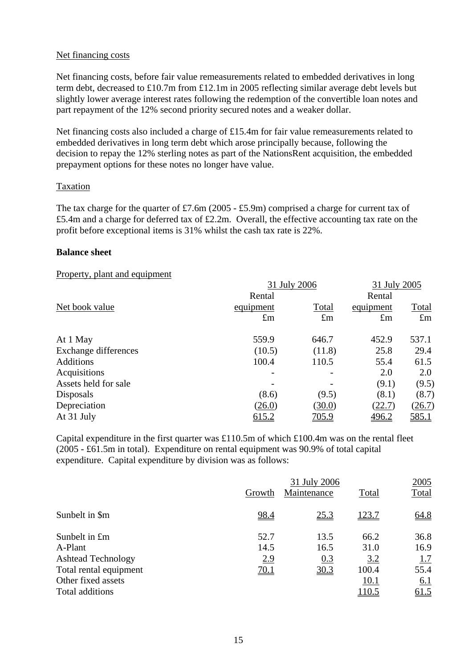#### Net financing costs

Net financing costs, before fair value remeasurements related to embedded derivatives in long term debt, decreased to £10.7m from £12.1m in 2005 reflecting similar average debt levels but slightly lower average interest rates following the redemption of the convertible loan notes and part repayment of the 12% second priority secured notes and a weaker dollar.

Net financing costs also included a charge of £15.4m for fair value remeasurements related to embedded derivatives in long term debt which arose principally because, following the decision to repay the 12% sterling notes as part of the NationsRent acquisition, the embedded prepayment options for these notes no longer have value.

#### Taxation

The tax charge for the quarter of £7.6m (2005 - £5.9m) comprised a charge for current tax of £5.4m and a charge for deferred tax of £2.2m. Overall, the effective accounting tax rate on the profit before exceptional items is 31% whilst the cash tax rate is 22%.

#### **Balance sheet**

#### Property, plant and equipment

| $\frac{1}{2}$ $\frac{1}{2}$ |              |                          |              |              |
|-----------------------------|--------------|--------------------------|--------------|--------------|
|                             | 31 July 2006 | 31 July 2005             |              |              |
|                             | Rental       |                          | Rental       |              |
| Net book value              | equipment    | Total                    | equipment    | Total        |
|                             | $\pounds$ m  | $\pounds$ m              | $\pounds$ m  | $\pounds$ m  |
| At 1 May                    | 559.9        | 646.7                    | 452.9        | 537.1        |
| Exchange differences        | (10.5)       | (11.8)                   | 25.8         | 29.4         |
| <b>Additions</b>            | 100.4        | 110.5                    | 55.4         | 61.5         |
| Acquisitions                |              | $\overline{\phantom{m}}$ | 2.0          | 2.0          |
| Assets held for sale        |              |                          | (9.1)        | (9.5)        |
| Disposals                   | (8.6)        | (9.5)                    | (8.1)        | (8.7)        |
| Depreciation                | (26.0)       | (30.0)                   | (22.7)       | (26.7)       |
| At 31 July                  | 615.2        | <u>705.9</u>             | <u>496.2</u> | <u>585.1</u> |
|                             |              |                          |              |              |

Capital expenditure in the first quarter was £110.5m of which £100.4m was on the rental fleet (2005 - £61.5m in total). Expenditure on rental equipment was 90.9% of total capital expenditure. Capital expenditure by division was as follows:

|                           | 31 July 2006 |             |       |             |  |
|---------------------------|--------------|-------------|-------|-------------|--|
|                           | Growth       | Maintenance | Total | Total       |  |
| Sunbelt in \$m            | 98.4         | <u>25.3</u> | 123.7 | 64.8        |  |
| Sunbelt in £m             | 52.7         | 13.5        | 66.2  | 36.8        |  |
| A-Plant                   | 14.5         | 16.5        | 31.0  | 16.9        |  |
| <b>Ashtead Technology</b> | 2.9          | 0.3         | 3.2   | 1.7         |  |
| Total rental equipment    | <u>70.1</u>  | 30.3        | 100.4 | 55.4        |  |
| Other fixed assets        |              |             | 10.1  | <u>6.1</u>  |  |
| Total additions           |              |             | 110.5 | <u>61.5</u> |  |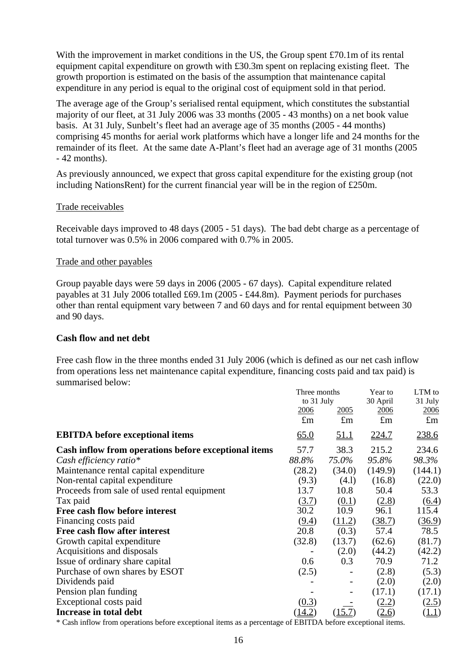With the improvement in market conditions in the US, the Group spent £70.1m of its rental equipment capital expenditure on growth with  $\pounds 30.3$ m spent on replacing existing fleet. The growth proportion is estimated on the basis of the assumption that maintenance capital expenditure in any period is equal to the original cost of equipment sold in that period.

The average age of the Group's serialised rental equipment, which constitutes the substantial majority of our fleet, at 31 July 2006 was 33 months (2005 - 43 months) on a net book value basis. At 31 July, Sunbelt's fleet had an average age of 35 months (2005 - 44 months) comprising 45 months for aerial work platforms which have a longer life and 24 months for the remainder of its fleet. At the same date A-Plant's fleet had an average age of 31 months (2005 - 42 months).

As previously announced, we expect that gross capital expenditure for the existing group (not including NationsRent) for the current financial year will be in the region of £250m.

#### Trade receivables

Receivable days improved to 48 days (2005 - 51 days). The bad debt charge as a percentage of total turnover was 0.5% in 2006 compared with 0.7% in 2005.

#### Trade and other payables

Group payable days were 59 days in 2006 (2005 - 67 days). Capital expenditure related payables at 31 July 2006 totalled £69.1m (2005 - £44.8m). Payment periods for purchases other than rental equipment vary between 7 and 60 days and for rental equipment between 30 and 90 days.

#### **Cash flow and net debt**

Free cash flow in the three months ended 31 July 2006 (which is defined as our net cash inflow from operations less net maintenance capital expenditure, financing costs paid and tax paid) is summarised below:

|                                                      | Three months |             | Year to      | LTM to      |  |
|------------------------------------------------------|--------------|-------------|--------------|-------------|--|
|                                                      | to 31 July   |             | 30 April     | 31 July     |  |
|                                                      | 2006         | <u>2005</u> | 2006         | 2006        |  |
|                                                      | $\pounds$ m  | $\pounds$ m | $\pounds$ m  | $\pounds$ m |  |
| <b>EBITDA</b> before exceptional items               | 65.0         | <u>51.1</u> | <u>224.7</u> | 238.6       |  |
| Cash inflow from operations before exceptional items | 57.7         | 38.3        | 215.2        | 234.6       |  |
| Cash efficiency ratio*                               | 88.8%        | 75.0%       | 95.8%        | 98.3%       |  |
| Maintenance rental capital expenditure               | (28.2)       | (34.0)      | (149.9)      | (144.1)     |  |
| Non-rental capital expenditure                       | (9.3)        | (4.1)       | (16.8)       | (22.0)      |  |
| Proceeds from sale of used rental equipment          | 13.7         | 10.8        | 50.4         | 53.3        |  |
| Tax paid                                             | (3.7)        | (0.1)       | (2.8)        | (6.4)       |  |
| Free cash flow before interest                       | 30.2         | 10.9        | 96.1         | 115.4       |  |
| Financing costs paid                                 | (9.4)        | (11.2)      | (38.7)       | (36.9)      |  |
| Free cash flow after interest                        | 20.8         | (0.3)       | 57.4         | 78.5        |  |
| Growth capital expenditure                           | (32.8)       | (13.7)      | (62.6)       | (81.7)      |  |
| Acquisitions and disposals                           |              | (2.0)       | (44.2)       | (42.2)      |  |
| Issue of ordinary share capital                      | 0.6          | 0.3         | 70.9         | 71.2        |  |
| Purchase of own shares by ESOT                       | (2.5)        |             | (2.8)        | (5.3)       |  |
| Dividends paid                                       |              | -           | (2.0)        | (2.0)       |  |
| Pension plan funding                                 |              |             | (17.1)       | (17.1)      |  |
| Exceptional costs paid                               | (0.3)        |             | (2.2)        | (2.5)       |  |
| Increase in total debt                               |              | (15.7)      | <u>(2.6)</u> | (1.1)       |  |
|                                                      |              |             |              |             |  |

\* Cash inflow from operations before exceptional items as a percentage of EBITDA before exceptional items.